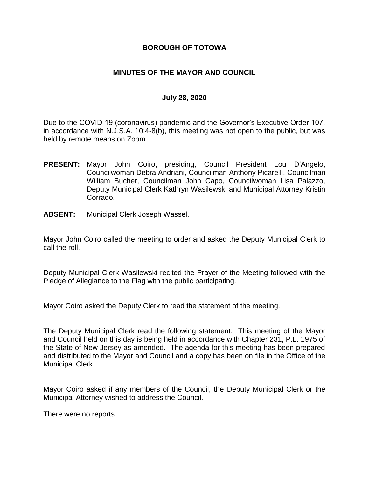# **BOROUGH OF TOTOWA**

# **MINUTES OF THE MAYOR AND COUNCIL**

#### **July 28, 2020**

Due to the COVID-19 (coronavirus) pandemic and the Governor's Executive Order 107, in accordance with N.J.S.A. 10:4-8(b), this meeting was not open to the public, but was held by remote means on Zoom.

- **PRESENT:** Mayor John Coiro, presiding, Council President Lou D'Angelo, Councilwoman Debra Andriani, Councilman Anthony Picarelli, Councilman William Bucher, Councilman John Capo, Councilwoman Lisa Palazzo, Deputy Municipal Clerk Kathryn Wasilewski and Municipal Attorney Kristin Corrado.
- **ABSENT:** Municipal Clerk Joseph Wassel.

Mayor John Coiro called the meeting to order and asked the Deputy Municipal Clerk to call the roll.

Deputy Municipal Clerk Wasilewski recited the Prayer of the Meeting followed with the Pledge of Allegiance to the Flag with the public participating.

Mayor Coiro asked the Deputy Clerk to read the statement of the meeting.

The Deputy Municipal Clerk read the following statement: This meeting of the Mayor and Council held on this day is being held in accordance with Chapter 231, P.L. 1975 of the State of New Jersey as amended. The agenda for this meeting has been prepared and distributed to the Mayor and Council and a copy has been on file in the Office of the Municipal Clerk.

Mayor Coiro asked if any members of the Council, the Deputy Municipal Clerk or the Municipal Attorney wished to address the Council.

There were no reports.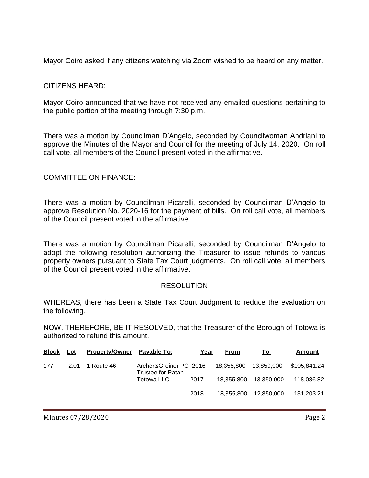Mayor Coiro asked if any citizens watching via Zoom wished to be heard on any matter.

# CITIZENS HEARD:

Mayor Coiro announced that we have not received any emailed questions pertaining to the public portion of the meeting through 7:30 p.m.

There was a motion by Councilman D'Angelo, seconded by Councilwoman Andriani to approve the Minutes of the Mayor and Council for the meeting of July 14, 2020. On roll call vote, all members of the Council present voted in the affirmative.

#### COMMITTEE ON FINANCE:

There was a motion by Councilman Picarelli, seconded by Councilman D'Angelo to approve Resolution No. 2020-16 for the payment of bills. On roll call vote, all members of the Council present voted in the affirmative.

There was a motion by Councilman Picarelli, seconded by Councilman D'Angelo to adopt the following resolution authorizing the Treasurer to issue refunds to various property owners pursuant to State Tax Court judgments. On roll call vote, all members of the Council present voted in the affirmative.

#### **RESOLUTION**

WHEREAS, there has been a State Tax Court Judgment to reduce the evaluation on the following.

NOW, THEREFORE, BE IT RESOLVED, that the Treasurer of the Borough of Totowa is authorized to refund this amount.

| <b>Block</b> | Lot  | <b>Property/Owner</b> | Pavable To:                                 | Year | <b>From</b> | Τo         | Amount       |
|--------------|------|-----------------------|---------------------------------------------|------|-------------|------------|--------------|
| 177          | 2.01 | 1 Route 46            | Archer&Greiner PC 2016<br>Trustee for Ratan |      | 18.355.800  | 13,850,000 | \$105,841.24 |
|              |      |                       | Totowa LLC                                  | 2017 | 18,355,800  | 13,350,000 | 118,086.82   |
|              |      |                       |                                             | 2018 | 18.355.800  | 12.850.000 | 131,203.21   |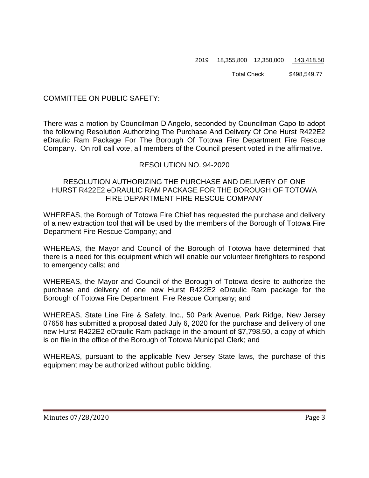#### 2019 18,355,800 12,350,000 143,418.50

Total Check: \$498,549.77

### COMMITTEE ON PUBLIC SAFETY:

There was a motion by Councilman D'Angelo, seconded by Councilman Capo to adopt the following Resolution Authorizing The Purchase And Delivery Of One Hurst R422E2 eDraulic Ram Package For The Borough Of Totowa Fire Department Fire Rescue Company. On roll call vote, all members of the Council present voted in the affirmative.

# RESOLUTION NO. 94-2020

### RESOLUTION AUTHORIZING THE PURCHASE AND DELIVERY OF ONE HURST R422E2 eDRAULIC RAM PACKAGE FOR THE BOROUGH OF TOTOWA FIRE DEPARTMENT FIRE RESCUE COMPANY

WHEREAS, the Borough of Totowa Fire Chief has requested the purchase and delivery of a new extraction tool that will be used by the members of the Borough of Totowa Fire Department Fire Rescue Company; and

WHEREAS, the Mayor and Council of the Borough of Totowa have determined that there is a need for this equipment which will enable our volunteer firefighters to respond to emergency calls; and

WHEREAS, the Mayor and Council of the Borough of Totowa desire to authorize the purchase and delivery of one new Hurst R422E2 eDraulic Ram package for the Borough of Totowa Fire Department Fire Rescue Company; and

WHEREAS, State Line Fire & Safety, Inc., 50 Park Avenue, Park Ridge, New Jersey 07656 has submitted a proposal dated July 6, 2020 for the purchase and delivery of one new Hurst R422E2 eDraulic Ram package in the amount of \$7,798.50, a copy of which is on file in the office of the Borough of Totowa Municipal Clerk; and

WHEREAS, pursuant to the applicable New Jersey State laws, the purchase of this equipment may be authorized without public bidding.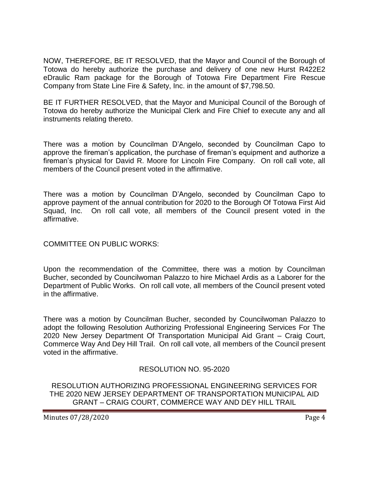NOW, THEREFORE, BE IT RESOLVED, that the Mayor and Council of the Borough of Totowa do hereby authorize the purchase and delivery of one new Hurst R422E2 eDraulic Ram package for the Borough of Totowa Fire Department Fire Rescue Company from State Line Fire & Safety, Inc. in the amount of \$7,798.50.

BE IT FURTHER RESOLVED, that the Mayor and Municipal Council of the Borough of Totowa do hereby authorize the Municipal Clerk and Fire Chief to execute any and all instruments relating thereto.

There was a motion by Councilman D'Angelo, seconded by Councilman Capo to approve the fireman's application, the purchase of fireman's equipment and authorize a fireman's physical for David R. Moore for Lincoln Fire Company. On roll call vote, all members of the Council present voted in the affirmative.

There was a motion by Councilman D'Angelo, seconded by Councilman Capo to approve payment of the annual contribution for 2020 to the Borough Of Totowa First Aid Squad, Inc. On roll call vote, all members of the Council present voted in the affirmative.

COMMITTEE ON PUBLIC WORKS:

Upon the recommendation of the Committee, there was a motion by Councilman Bucher, seconded by Councilwoman Palazzo to hire Michael Ardis as a Laborer for the Department of Public Works. On roll call vote, all members of the Council present voted in the affirmative.

There was a motion by Councilman Bucher, seconded by Councilwoman Palazzo to adopt the following Resolution Authorizing Professional Engineering Services For The 2020 New Jersey Department Of Transportation Municipal Aid Grant – Craig Court, Commerce Way And Dey Hill Trail. On roll call vote, all members of the Council present voted in the affirmative.

# RESOLUTION NO. 95-2020

RESOLUTION AUTHORIZING PROFESSIONAL ENGINEERING SERVICES FOR THE 2020 NEW JERSEY DEPARTMENT OF TRANSPORTATION MUNICIPAL AID GRANT – CRAIG COURT, COMMERCE WAY AND DEY HILL TRAIL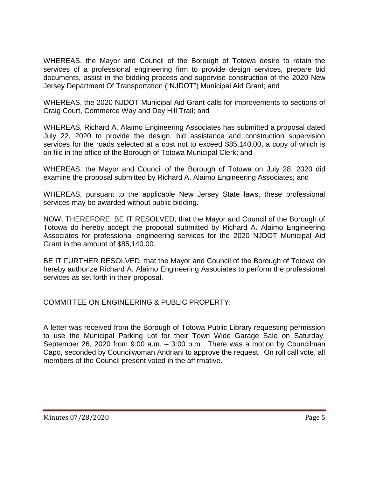WHEREAS, the Mayor and Council of the Borough of Totowa desire to retain the services of a professional engineering firm to provide design services, prepare bid documents, assist in the bidding process and supervise construction of the 2020 New Jersey Department Of Transportation ("NJDOT") Municipal Aid Grant; and

WHEREAS, the 2020 NJDOT Municipal Aid Grant calls for improvements to sections of Craig Court, Commerce Way and Dey Hill Trail; and

WHEREAS, Richard A. Alaimo Engineering Associates has submitted a proposal dated July 22, 2020 to provide the design, bid assistance and construction supervision services for the roads selected at a cost not to exceed \$85,140.00, a copy of which is on file in the office of the Borough of Totowa Municipal Clerk; and

WHEREAS, the Mayor and Council of the Borough of Totowa on July 28, 2020 did examine the proposal submitted by Richard A. Alaimo Engineering Associates; and

WHEREAS, pursuant to the applicable New Jersey State laws, these professional services may be awarded without public bidding.

NOW, THEREFORE, BE IT RESOLVED, that the Mayor and Council of the Borough of Totowa do hereby accept the proposal submitted by Richard A. Alaimo Engineering Associates for professional engineering services for the 2020 NJDOT Municipal Aid Grant in the amount of \$85,140.00.

BE IT FURTHER RESOLVED, that the Mayor and Council of the Borough of Totowa do hereby authorize Richard A. Alaimo Engineering Associates to perform the professional services as set forth in their proposal.

COMMITTEE ON ENGINEERING & PUBLIC PROPERTY:

A letter was received from the Borough of Totowa Public Library requesting permission to use the Municipal Parking Lot for their Town Wide Garage Sale on Saturday, September 26, 2020 from 9:00 a.m. – 3:00 p.m. There was a motion by Councilman Capo, seconded by Councilwoman Andriani to approve the request. On roll call vote, all members of the Council present voted in the affirmative.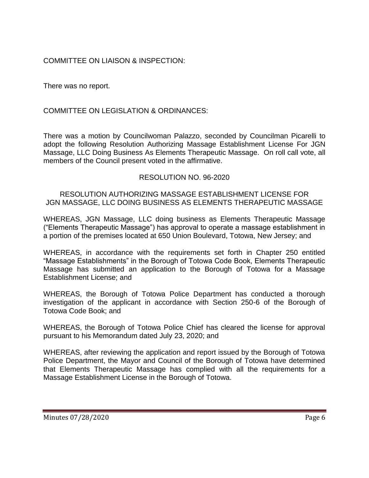# COMMITTEE ON LIAISON & INSPECTION:

There was no report.

COMMITTEE ON LEGISLATION & ORDINANCES:

There was a motion by Councilwoman Palazzo, seconded by Councilman Picarelli to adopt the following Resolution Authorizing Massage Establishment License For JGN Massage, LLC Doing Business As Elements Therapeutic Massage. On roll call vote, all members of the Council present voted in the affirmative.

# RESOLUTION NO. 96-2020

### RESOLUTION AUTHORIZING MASSAGE ESTABLISHMENT LICENSE FOR JGN MASSAGE, LLC DOING BUSINESS AS ELEMENTS THERAPEUTIC MASSAGE

WHEREAS, JGN Massage, LLC doing business as Elements Therapeutic Massage ("Elements Therapeutic Massage") has approval to operate a massage establishment in a portion of the premises located at 650 Union Boulevard, Totowa, New Jersey; and

WHEREAS, in accordance with the requirements set forth in Chapter 250 entitled "Massage Establishments" in the Borough of Totowa Code Book, Elements Therapeutic Massage has submitted an application to the Borough of Totowa for a Massage Establishment License; and

WHEREAS, the Borough of Totowa Police Department has conducted a thorough investigation of the applicant in accordance with Section 250-6 of the Borough of Totowa Code Book; and

WHEREAS, the Borough of Totowa Police Chief has cleared the license for approval pursuant to his Memorandum dated July 23, 2020; and

WHEREAS, after reviewing the application and report issued by the Borough of Totowa Police Department, the Mayor and Council of the Borough of Totowa have determined that Elements Therapeutic Massage has complied with all the requirements for a Massage Establishment License in the Borough of Totowa.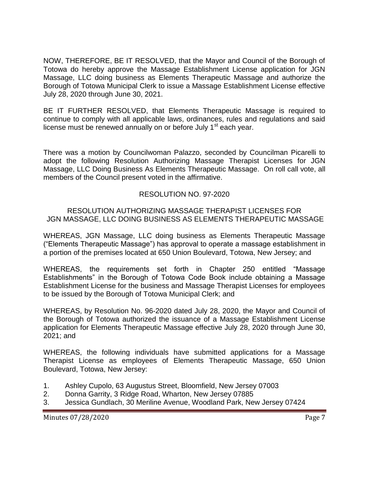NOW, THEREFORE, BE IT RESOLVED, that the Mayor and Council of the Borough of Totowa do hereby approve the Massage Establishment License application for JGN Massage, LLC doing business as Elements Therapeutic Massage and authorize the Borough of Totowa Municipal Clerk to issue a Massage Establishment License effective July 28, 2020 through June 30, 2021.

BE IT FURTHER RESOLVED, that Elements Therapeutic Massage is required to continue to comply with all applicable laws, ordinances, rules and regulations and said license must be renewed annually on or before July  $1<sup>st</sup>$  each year.

There was a motion by Councilwoman Palazzo, seconded by Councilman Picarelli to adopt the following Resolution Authorizing Massage Therapist Licenses for JGN Massage, LLC Doing Business As Elements Therapeutic Massage. On roll call vote, all members of the Council present voted in the affirmative.

# RESOLUTION NO. 97-2020

# RESOLUTION AUTHORIZING MASSAGE THERAPIST LICENSES FOR JGN MASSAGE, LLC DOING BUSINESS AS ELEMENTS THERAPEUTIC MASSAGE

WHEREAS, JGN Massage, LLC doing business as Elements Therapeutic Massage ("Elements Therapeutic Massage") has approval to operate a massage establishment in a portion of the premises located at 650 Union Boulevard, Totowa, New Jersey; and

WHEREAS, the requirements set forth in Chapter 250 entitled "Massage Establishments" in the Borough of Totowa Code Book include obtaining a Massage Establishment License for the business and Massage Therapist Licenses for employees to be issued by the Borough of Totowa Municipal Clerk; and

WHEREAS, by Resolution No. 96-2020 dated July 28, 2020, the Mayor and Council of the Borough of Totowa authorized the issuance of a Massage Establishment License application for Elements Therapeutic Massage effective July 28, 2020 through June 30, 2021; and

WHEREAS, the following individuals have submitted applications for a Massage Therapist License as employees of Elements Therapeutic Massage, 650 Union Boulevard, Totowa, New Jersey:

- 1. Ashley Cupolo, 63 Augustus Street, Bloomfield, New Jersey 07003
- 2. Donna Garrity, 3 Ridge Road, Wharton, New Jersey 07885
- 3. Jessica Gundlach, 30 Meriline Avenue, Woodland Park, New Jersey 07424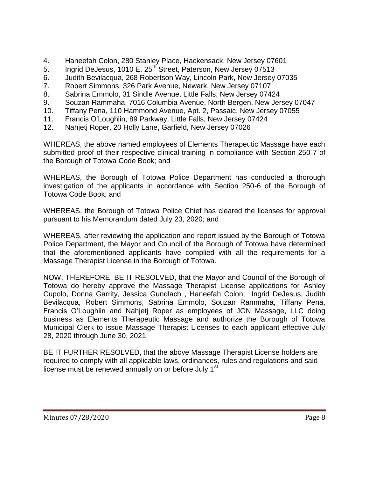- 4. Haneefah Colon, 280 Stanley Place, Hackensack, New Jersey 07601
- 5. Ingrid DeJesus, 1010 E. 25<sup>th</sup> Street, Paterson, New Jersey 07513
- 6. Judith Bevilacqua, 268 Robertson Way, Lincoln Park, New Jersey 07035
- 7. Robert Simmons, 326 Park Avenue, Newark, New Jersey 07107
- 8. Sabrina Emmolo, 31 Sindle Avenue, Little Falls, New Jersey 07424
- 9. Souzan Rammaha, 7016 Columbia Avenue, North Bergen, New Jersey 07047
- 10. Tiffany Pena, 110 Hammond Avenue, Apt. 2, Passaic, New Jersey 07055
- 11. Francis O'Loughlin, 89 Parkway, Little Falls, New Jersey 07424
- 12. Nahjetj Roper, 20 Holly Lane, Garfield, New Jersey 07026

WHEREAS, the above named employees of Elements Therapeutic Massage have each submitted proof of their respective clinical training in compliance with Section 250-7 of the Borough of Totowa Code Book; and

WHEREAS, the Borough of Totowa Police Department has conducted a thorough investigation of the applicants in accordance with Section 250-6 of the Borough of Totowa Code Book; and

WHEREAS, the Borough of Totowa Police Chief has cleared the licenses for approval pursuant to his Memorandum dated July 23, 2020; and

WHEREAS, after reviewing the application and report issued by the Borough of Totowa Police Department, the Mayor and Council of the Borough of Totowa have determined that the aforementioned applicants have complied with all the requirements for a Massage Therapist License in the Borough of Totowa.

NOW, THEREFORE, BE IT RESOLVED, that the Mayor and Council of the Borough of Totowa do hereby approve the Massage Therapist License applications for Ashley Cupolo, Donna Garrity, Jessica Gundlach , Haneefah Colon, Ingrid DeJesus, Judith Bevilacqua, Robert Simmons, Sabrina Emmolo, Souzan Rammaha, Tiffany Pena, Francis O'Loughlin and Nahjetj Roper as employees of JGN Massage, LLC doing business as Elements Therapeutic Massage and authorize the Borough of Totowa Municipal Clerk to issue Massage Therapist Licenses to each applicant effective July 28, 2020 through June 30, 2021.

BE IT FURTHER RESOLVED, that the above Massage Therapist License holders are required to comply with all applicable laws, ordinances, rules and regulations and said license must be renewed annually on or before July 1<sup>st</sup>